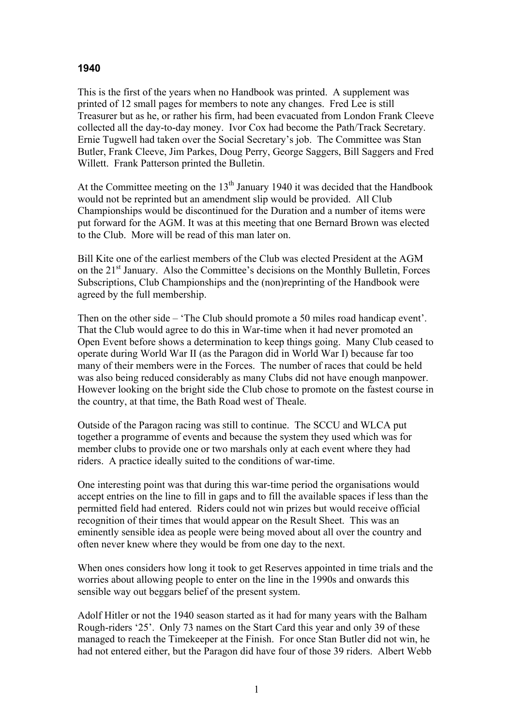## **1940**

This is the first of the years when no Handbook was printed. A supplement was printed of 12 small pages for members to note any changes. Fred Lee is still Treasurer but as he, or rather his firm, had been evacuated from London Frank Cleeve collected all the day-to-day money. Ivor Cox had become the Path/Track Secretary. Ernie Tugwell had taken over the Social Secretary's job. The Committee was Stan Butler, Frank Cleeve, Jim Parkes, Doug Perry, George Saggers, Bill Saggers and Fred Willett. Frank Patterson printed the Bulletin.

At the Committee meeting on the  $13<sup>th</sup>$  January 1940 it was decided that the Handbook would not be reprinted but an amendment slip would be provided. All Club Championships would be discontinued for the Duration and a number of items were put forward for the AGM. It was at this meeting that one Bernard Brown was elected to the Club. More will be read of this man later on.

Bill Kite one of the earliest members of the Club was elected President at the AGM on the 21st January. Also the Committee's decisions on the Monthly Bulletin, Forces Subscriptions, Club Championships and the (non)reprinting of the Handbook were agreed by the full membership.

Then on the other side – 'The Club should promote a 50 miles road handicap event'. That the Club would agree to do this in War-time when it had never promoted an Open Event before shows a determination to keep things going. Many Club ceased to operate during World War II (as the Paragon did in World War I) because far too many of their members were in the Forces. The number of races that could be held was also being reduced considerably as many Clubs did not have enough manpower. However looking on the bright side the Club chose to promote on the fastest course in the country, at that time, the Bath Road west of Theale.

Outside of the Paragon racing was still to continue. The SCCU and WLCA put together a programme of events and because the system they used which was for member clubs to provide one or two marshals only at each event where they had riders. A practice ideally suited to the conditions of war-time.

One interesting point was that during this war-time period the organisations would accept entries on the line to fill in gaps and to fill the available spaces if less than the permitted field had entered. Riders could not win prizes but would receive official recognition of their times that would appear on the Result Sheet. This was an eminently sensible idea as people were being moved about all over the country and often never knew where they would be from one day to the next.

When ones considers how long it took to get Reserves appointed in time trials and the worries about allowing people to enter on the line in the 1990s and onwards this sensible way out beggars belief of the present system.

Adolf Hitler or not the 1940 season started as it had for many years with the Balham Rough-riders '25'. Only 73 names on the Start Card this year and only 39 of these managed to reach the Timekeeper at the Finish. For once Stan Butler did not win, he had not entered either, but the Paragon did have four of those 39 riders. Albert Webb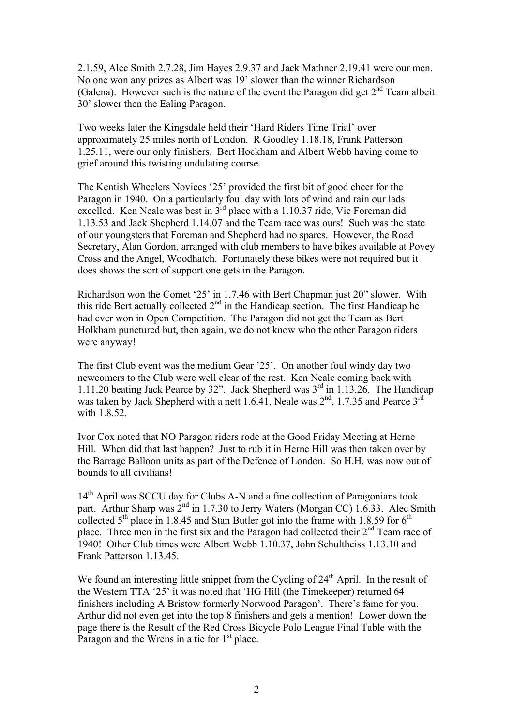2.1.59, Alec Smith 2.7.28, Jim Hayes 2.9.37 and Jack Mathner 2.19.41 were our men. No one won any prizes as Albert was 19' slower than the winner Richardson (Galena). However such is the nature of the event the Paragon did get  $2<sup>nd</sup>$  Team albeit 30' slower then the Ealing Paragon.

Two weeks later the Kingsdale held their 'Hard Riders Time Trial' over approximately 25 miles north of London. R Goodley 1.18.18, Frank Patterson 1.25.11, were our only finishers. Bert Hockham and Albert Webb having come to grief around this twisting undulating course.

The Kentish Wheelers Novices '25' provided the first bit of good cheer for the Paragon in 1940. On a particularly foul day with lots of wind and rain our lads excelled. Ken Neale was best in 3<sup>rd</sup> place with a 1.10.37 ride, Vic Foreman did 1.13.53 and Jack Shepherd 1.14.07 and the Team race was ours! Such was the state of our youngsters that Foreman and Shepherd had no spares. However, the Road Secretary, Alan Gordon, arranged with club members to have bikes available at Povey Cross and the Angel, Woodhatch. Fortunately these bikes were not required but it does shows the sort of support one gets in the Paragon.

Richardson won the Comet '25' in 1.7.46 with Bert Chapman just 20" slower. With this ride Bert actually collected  $2<sup>nd</sup>$  in the Handicap section. The first Handicap he had ever won in Open Competition. The Paragon did not get the Team as Bert Holkham punctured but, then again, we do not know who the other Paragon riders were anyway!

The first Club event was the medium Gear '25'. On another foul windy day two newcomers to the Club were well clear of the rest. Ken Neale coming back with 1.11.20 beating Jack Pearce by 32". Jack Shepherd was  $3<sup>rd</sup>$  in 1.13.26. The Handicap was taken by Jack Shepherd with a nett 1.6.41, Neale was  $2<sup>nd</sup>$ , 1.7.35 and Pearce  $3<sup>rd</sup>$ with 1.8.52

Ivor Cox noted that NO Paragon riders rode at the Good Friday Meeting at Herne Hill. When did that last happen? Just to rub it in Herne Hill was then taken over by the Barrage Balloon units as part of the Defence of London. So H.H. was now out of bounds to all civilians!

14<sup>th</sup> April was SCCU day for Clubs A-N and a fine collection of Paragonians took part. Arthur Sharp was 2<sup>nd</sup> in 1.7.30 to Jerry Waters (Morgan CC) 1.6.33. Alec Smith collected  $5<sup>th</sup>$  place in 1.8.45 and Stan Butler got into the frame with 1.8.59 for  $6<sup>th</sup>$ place. Three men in the first six and the Paragon had collected their  $2<sup>nd</sup>$  Team race of 1940! Other Club times were Albert Webb 1.10.37, John Schultheiss 1.13.10 and Frank Patterson 1.13.45.

We found an interesting little snippet from the Cycling of  $24<sup>th</sup>$  April. In the result of the Western TTA '25' it was noted that 'HG Hill (the Timekeeper) returned 64 finishers including A Bristow formerly Norwood Paragon'. There's fame for you. Arthur did not even get into the top 8 finishers and gets a mention! Lower down the page there is the Result of the Red Cross Bicycle Polo League Final Table with the Paragon and the Wrens in a tie for  $1<sup>st</sup>$  place.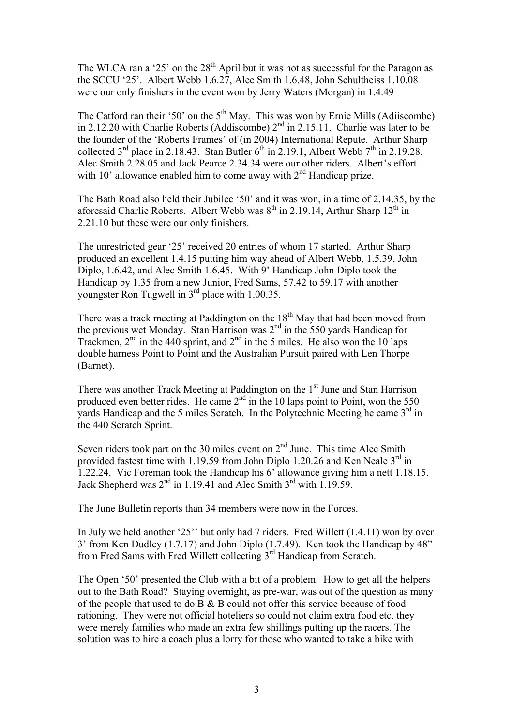The WLCA ran a '25' on the  $28<sup>th</sup>$  April but it was not as successful for the Paragon as the SCCU '25'. Albert Webb 1.6.27, Alec Smith 1.6.48, John Schultheiss 1.10.08 were our only finishers in the event won by Jerry Waters (Morgan) in 1.4.49

The Catford ran their '50' on the  $5<sup>th</sup>$  May. This was won by Ernie Mills (Adiiscombe) in 2.12.20 with Charlie Roberts (Addiscombe)  $2<sup>nd</sup>$  in 2.15.11. Charlie was later to be the founder of the 'Roberts Frames' of (in 2004) International Repute. Arthur Sharp collected  $3<sup>rd</sup>$  place in 2.18.43. Stan Butler  $6<sup>th</sup>$  in 2.19.1, Albert Webb  $7<sup>th</sup>$  in 2.19.28, Alec Smith 2.28.05 and Jack Pearce 2.34.34 were our other riders. Albert's effort with  $10^{\circ}$  allowance enabled him to come away with  $2^{nd}$  Handicap prize.

The Bath Road also held their Jubilee '50' and it was won, in a time of 2.14.35, by the aforesaid Charlie Roberts. Albert Webb was  $8<sup>th</sup>$  in 2.19.14, Arthur Sharp 12<sup>th</sup> in 2.21.10 but these were our only finishers.

The unrestricted gear '25' received 20 entries of whom 17 started. Arthur Sharp produced an excellent 1.4.15 putting him way ahead of Albert Webb, 1.5.39, John Diplo, 1.6.42, and Alec Smith 1.6.45. With 9' Handicap John Diplo took the Handicap by 1.35 from a new Junior, Fred Sams, 57.42 to 59.17 with another youngster Ron Tugwell in  $3<sup>rd</sup>$  place with 1.00.35.

There was a track meeting at Paddington on the  $18<sup>th</sup>$  May that had been moved from the previous wet Monday. Stan Harrison was 2<sup>nd</sup> in the 550 yards Handicap for Trackmen,  $2<sup>nd</sup>$  in the 440 sprint, and  $2<sup>nd</sup>$  in the 5 miles. He also won the 10 laps double harness Point to Point and the Australian Pursuit paired with Len Thorpe (Barnet).

There was another Track Meeting at Paddington on the 1<sup>st</sup> June and Stan Harrison produced even better rides. He came  $2<sup>nd</sup>$  in the 10 laps point to Point, won the 550 yards Handicap and the 5 miles Scratch. In the Polytechnic Meeting he came  $3<sup>rd</sup>$  in the 440 Scratch Sprint.

Seven riders took part on the 30 miles event on  $2<sup>nd</sup>$  June. This time Alec Smith provided fastest time with 1.19.59 from John Diplo 1.20.26 and Ken Neale  $3<sup>rd</sup>$  in 1.22.24. Vic Foreman took the Handicap his 6' allowance giving him a nett 1.18.15. Jack Shepherd was  $2<sup>nd</sup>$  in 1.19.41 and Alec Smith  $3<sup>rd</sup>$  with 1.19.59.

The June Bulletin reports than 34 members were now in the Forces.

In July we held another '25'' but only had 7 riders. Fred Willett (1.4.11) won by over 3' from Ken Dudley (1.7.17) and John Diplo (1.7.49). Ken took the Handicap by 48" from Fred Sams with Fred Willett collecting  $3<sup>rd</sup>$  Handicap from Scratch.

The Open '50' presented the Club with a bit of a problem. How to get all the helpers out to the Bath Road? Staying overnight, as pre-war, was out of the question as many of the people that used to do B & B could not offer this service because of food rationing. They were not official hoteliers so could not claim extra food etc. they were merely families who made an extra few shillings putting up the racers. The solution was to hire a coach plus a lorry for those who wanted to take a bike with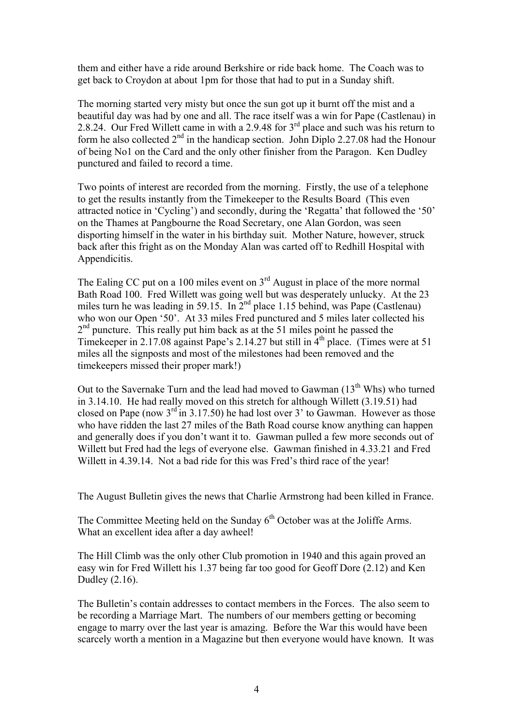them and either have a ride around Berkshire or ride back home. The Coach was to get back to Croydon at about 1pm for those that had to put in a Sunday shift.

The morning started very misty but once the sun got up it burnt off the mist and a beautiful day was had by one and all. The race itself was a win for Pape (Castlenau) in 2.8.24. Our Fred Willett came in with a 2.9.48 for 3<sup>rd</sup> place and such was his return to form he also collected  $2<sup>nd</sup>$  in the handicap section. John Diplo 2.27.08 had the Honour of being No1 on the Card and the only other finisher from the Paragon. Ken Dudley punctured and failed to record a time.

Two points of interest are recorded from the morning. Firstly, the use of a telephone to get the results instantly from the Timekeeper to the Results Board (This even attracted notice in 'Cycling') and secondly, during the 'Regatta' that followed the '50' on the Thames at Pangbourne the Road Secretary, one Alan Gordon, was seen disporting himself in the water in his birthday suit. Mother Nature, however, struck back after this fright as on the Monday Alan was carted off to Redhill Hospital with Appendicitis.

The Ealing CC put on a 100 miles event on  $3<sup>rd</sup>$  August in place of the more normal Bath Road 100. Fred Willett was going well but was desperately unlucky. At the 23 miles turn he was leading in 59.15. In  $2^{nd}$  place 1.15 behind, was Pape (Castlenau) who won our Open '50'. At 33 miles Fred punctured and 5 miles later collected his  $2<sup>nd</sup>$  puncture. This really put him back as at the 51 miles point he passed the Timekeeper in 2.17.08 against Pape's 2.14.27 but still in  $4<sup>th</sup>$  place. (Times were at 51) miles all the signposts and most of the milestones had been removed and the timekeepers missed their proper mark!)

Out to the Savernake Turn and the lead had moved to Gawman  $(13<sup>th</sup> Whs)$  who turned in 3.14.10. He had really moved on this stretch for although Willett (3.19.51) had closed on Pape (now  $3<sup>rd</sup>$  in 3.17.50) he had lost over 3' to Gawman. However as those who have ridden the last 27 miles of the Bath Road course know anything can happen and generally does if you don't want it to. Gawman pulled a few more seconds out of Willett but Fred had the legs of everyone else. Gawman finished in 4.33.21 and Fred Willett in 4.39.14. Not a bad ride for this was Fred's third race of the year!

The August Bulletin gives the news that Charlie Armstrong had been killed in France.

The Committee Meeting held on the Sunday  $6<sup>th</sup>$  October was at the Joliffe Arms. What an excellent idea after a day awheel!

The Hill Climb was the only other Club promotion in 1940 and this again proved an easy win for Fred Willett his 1.37 being far too good for Geoff Dore (2.12) and Ken Dudley (2.16).

The Bulletin's contain addresses to contact members in the Forces. The also seem to be recording a Marriage Mart. The numbers of our members getting or becoming engage to marry over the last year is amazing. Before the War this would have been scarcely worth a mention in a Magazine but then everyone would have known. It was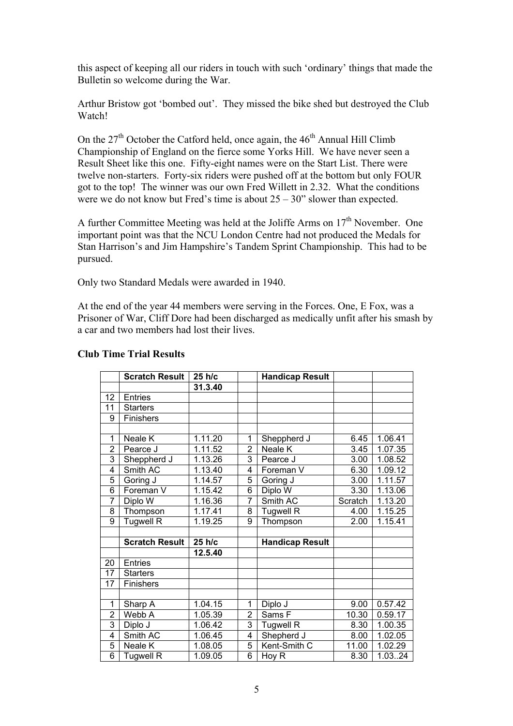this aspect of keeping all our riders in touch with such 'ordinary' things that made the Bulletin so welcome during the War.

Arthur Bristow got 'bombed out'. They missed the bike shed but destroyed the Club Watch!

On the  $27<sup>th</sup>$  October the Catford held, once again, the  $46<sup>th</sup>$  Annual Hill Climb Championship of England on the fierce some Yorks Hill. We have never seen a Result Sheet like this one. Fifty-eight names were on the Start List. There were twelve non-starters. Forty-six riders were pushed off at the bottom but only FOUR got to the top! The winner was our own Fred Willett in 2.32. What the conditions were we do not know but Fred's time is about  $25 - 30$ " slower than expected.

A further Committee Meeting was held at the Joliffe Arms on  $17<sup>th</sup>$  November. One important point was that the NCU London Centre had not produced the Medals for Stan Harrison's and Jim Hampshire's Tandem Sprint Championship. This had to be pursued.

Only two Standard Medals were awarded in 1940.

At the end of the year 44 members were serving in the Forces. One, E Fox, was a Prisoner of War, Cliff Dore had been discharged as medically unfit after his smash by a car and two members had lost their lives.

|                 | <b>Scratch Result</b> | 25 h/c  |                | <b>Handicap Result</b> |         |         |
|-----------------|-----------------------|---------|----------------|------------------------|---------|---------|
|                 |                       | 31.3.40 |                |                        |         |         |
| 12 <sub>2</sub> | <b>Entries</b>        |         |                |                        |         |         |
| 11              | <b>Starters</b>       |         |                |                        |         |         |
| 9               | <b>Finishers</b>      |         |                |                        |         |         |
|                 |                       |         |                |                        |         |         |
| 1               | Neale K               | 1.11.20 | 1              | Sheppherd J            | 6.45    | 1.06.41 |
| $\overline{2}$  | Pearce J              | 1.11.52 | $\overline{2}$ | Neale K                | 3.45    | 1.07.35 |
| 3               | Sheppherd J           | 1.13.26 | 3              | Pearce J               | 3.00    | 1.08.52 |
| 4               | Smith AC              | 1.13.40 | 4              | Foreman V              | 6.30    | 1.09.12 |
| 5               | Goring J              | 1.14.57 | 5              | Goring J               | 3.00    | 1.11.57 |
| 6               | Foreman V             | 1.15.42 | 6              | Diplo W                | 3.30    | 1.13.06 |
| $\overline{7}$  | Diplo W               | 1.16.36 | 7              | Smith AC               | Scratch | 1.13.20 |
| 8               | Thompson              | 1.17.41 | 8              | <b>Tugwell R</b>       | 4.00    | 1.15.25 |
| $\overline{9}$  | <b>Tugwell R</b>      | 1.19.25 | 9              | Thompson               | 2.00    | 1.15.41 |
|                 |                       |         |                |                        |         |         |
|                 | <b>Scratch Result</b> | 25 h/c  |                | <b>Handicap Result</b> |         |         |
|                 |                       | 12.5.40 |                |                        |         |         |
| 20              | <b>Entries</b>        |         |                |                        |         |         |
| 17              | <b>Starters</b>       |         |                |                        |         |         |
| 17              | Finishers             |         |                |                        |         |         |
|                 |                       |         |                |                        |         |         |
| 1               | Sharp A               | 1.04.15 | 1              | Diplo J                | 9.00    | 0.57.42 |
| $\overline{2}$  | Webb A                | 1.05.39 | 2              | Sams F                 | 10.30   | 0.59.17 |
| 3               | Diplo J               | 1.06.42 | 3              | <b>Tugwell R</b>       | 8.30    | 1.00.35 |
| 4               | Smith AC              | 1.06.45 | 4              | Shepherd J             | 8.00    | 1.02.05 |
| 5               | Neale K               | 1.08.05 | 5              | Kent-Smith C           | 11.00   | 1.02.29 |
| $\overline{6}$  | <b>Tugwell R</b>      | 1.09.05 | $\overline{6}$ | Hoy R                  | 8.30    | 1.0324  |

## **Club Time Trial Results**